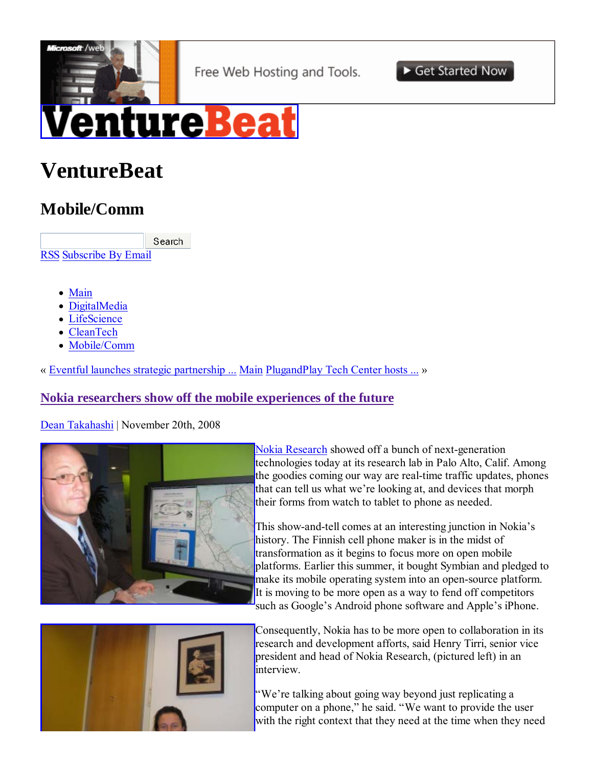

# **VentureBeat**

# **Mobile/Comm**

Search RSS Subscribe By Email

- Main
- DigitalMedia
- LifeScience
- CleanTech
- Mobile/Comm

« Eventful launches strategic partnership ... Main PlugandPlay Tech Center hosts ... »

# **Nokia researchers show off the mobile experiences of the future**

Dean Takahashi | November 20th, 2008



Nokia Research showed off a bunch of next-generation technologies today at its research lab in Palo Alto, Calif. Among the goodies coming our way are real-time traffic updates, phones that can tell us what we're looking at, and devices that morph their forms from watch to tablet to phone as needed.

This show-and-tell comes at an interesting junction in Nokia's history. The Finnish cell phone maker is in the midst of transformation as it begins to focus more on open mobile platforms. Earlier this summer, it bought Symbian and pledged to make its mobile operating system into an open-source platform. It is moving to be more open as a way to fend off competitors such as Google's Android phone software and Apple's iPhone.



Consequently, Nokia has to be more open to collaboration in its research and development afforts, said Henry Tirri, senior vice president and head of Nokia Research, (pictured left) in an interview.

"We're talking about going way beyond just replicating a computer on a phone," he said. "We want to provide the user with the right context that they need at the time when they need

Get Started Now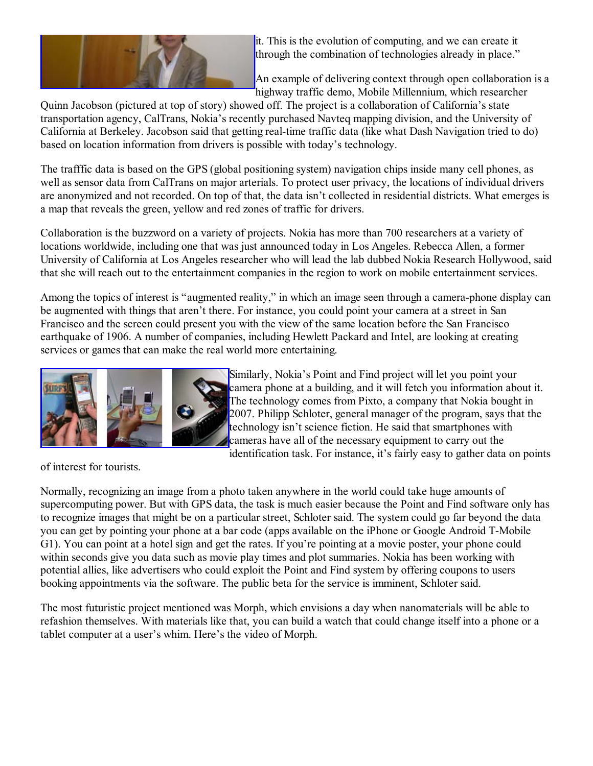

it. This is the evolution of computing, and we can create it through the combination of technologies already in place."

An example of delivering context through open collaboration is a highway traffic demo, Mobile Millennium, which researcher

Quinn Jacobson (pictured at top of story) showed off. The project is a collaboration of California's state transportation agency, CalTrans, Nokia's recently purchased Navteq mapping division, and the University of California at Berkeley. Jacobson said that getting real-time traffic data (like what Dash Navigation tried to do) based on location information from drivers is possible with today's technology.

The trafffic data is based on the GPS (global positioning system) navigation chips inside many cell phones, as well as sensor data from CalTrans on major arterials. To protect user privacy, the locations of individual drivers are anonymized and not recorded. On top of that, the data isn't collected in residential districts. What emerges is a map that reveals the green, yellow and red zones of traffic for drivers.

Collaboration is the buzzword on a variety of projects. Nokia has more than 700 researchers at a variety of locations worldwide, including one that was just announced today in Los Angeles. Rebecca Allen, a former University of California at Los Angeles researcher who will lead the lab dubbed Nokia Research Hollywood, said that she will reach out to the entertainment companies in the region to work on mobile entertainment services.

Among the topics of interest is "augmented reality," in which an image seen through a camera-phone display can be augmented with things that aren't there. For instance, you could point your camera at a street in San Francisco and the screen could present you with the view of the same location before the San Francisco earthquake of 1906. A number of companies, including Hewlett Packard and Intel, are looking at creating services or games that can make the real world more entertaining.



Similarly, Nokia's Point and Find project will let you point your camera phone at a building, and it will fetch you information about it. The technology comes from Pixto, a company that Nokia bought in 2007. Philipp Schloter, general manager of the program, says that the technology isn't science fiction. He said that smartphones with cameras have all of the necessary equipment to carry out the identification task. For instance, it's fairly easy to gather data on points

of interest for tourists.

Normally, recognizing an image from a photo taken anywhere in the world could take huge amounts of supercomputing power. But with GPS data, the task is much easier because the Point and Find software only has to recognize images that might be on a particular street, Schloter said. The system could go far beyond the data you can get by pointing your phone at a bar code (apps available on the iPhone or Google Android T-Mobile G1). You can point at a hotel sign and get the rates. If you're pointing at a movie poster, your phone could within seconds give you data such as movie play times and plot summaries. Nokia has been working with potential allies, like advertisers who could exploit the Point and Find system by offering coupons to users booking appointments via the software. The public beta for the service is imminent, Schloter said.

The most futuristic project mentioned was Morph, which envisions a day when nanomaterials will be able to refashion themselves. With materials like that, you can build a watch that could change itself into a phone or a tablet computer at a user's whim. Here's the video of Morph.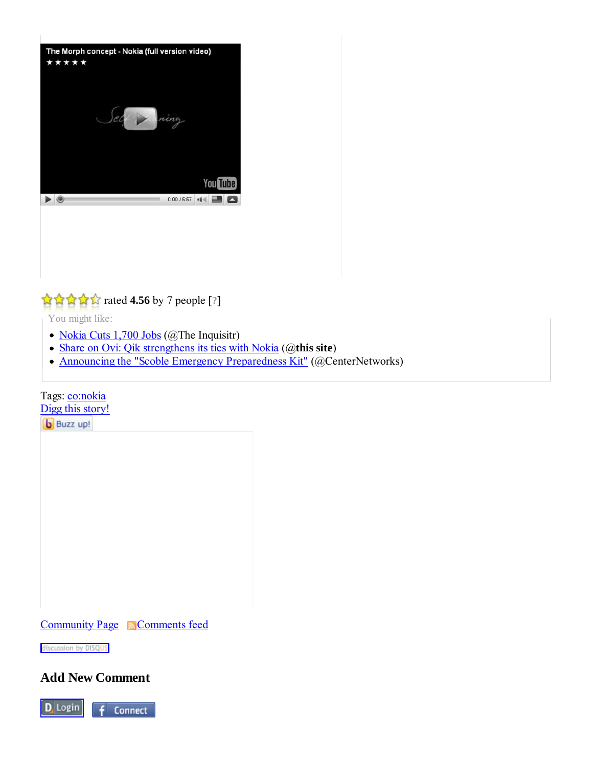

# rated **4.56** by 7 people [**?**]

You might like:

- Nokia Cuts 1,700 Jobs (@The Inquisitr)
- Share on Ovi: Qik strengthens its ties with Nokia (@**this site**)
- Announcing the "Scoble Emergency Preparedness Kit" (@CenterNetworks)

#### Tags: **co:nokia**

Digg this story!

**b** Buzz up!

Community Page Comments feed

discussion by DISQUS

**Add New Comment**

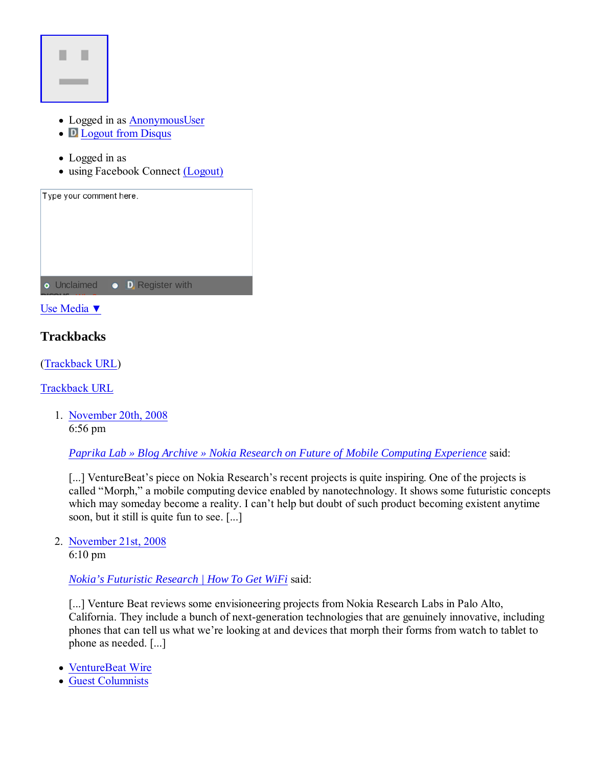

- Logged in as AnonymousUser
- **D** Logout from Disqus
- Logged in as
- using Facebook Connect (Logout)

| Type your comment here. |                                      |  |
|-------------------------|--------------------------------------|--|
|                         |                                      |  |
|                         |                                      |  |
|                         | • Unclaimed • <b>D</b> Register with |  |

Use Media ▼

# **Trackbacks**

(Trackback URL)

Trackback URL

1. November 20th, 2008 6:56 pm

*Paprika Lab » Blog Archive » Nokia Research on Future of Mobile Computing Experience* said:

[...] VentureBeat's piece on Nokia Research's recent projects is quite inspiring. One of the projects is called "Morph," a mobile computing device enabled by nanotechnology. It shows some futuristic concepts which may someday become a reality. I can't help but doubt of such product becoming existent anytime soon, but it still is quite fun to see. [...]

2. November 21st, 2008

6:10 pm

*Nokia's Futuristic Research | How To Get WiFi* said:

[...] Venture Beat reviews some envisioneering projects from Nokia Research Labs in Palo Alto, California. They include a bunch of next-generation technologies that are genuinely innovative, including phones that can tell us what we're looking at and devices that morph their forms from watch to tablet to phone as needed. [...]

- VentureBeat Wire
- Guest Columnists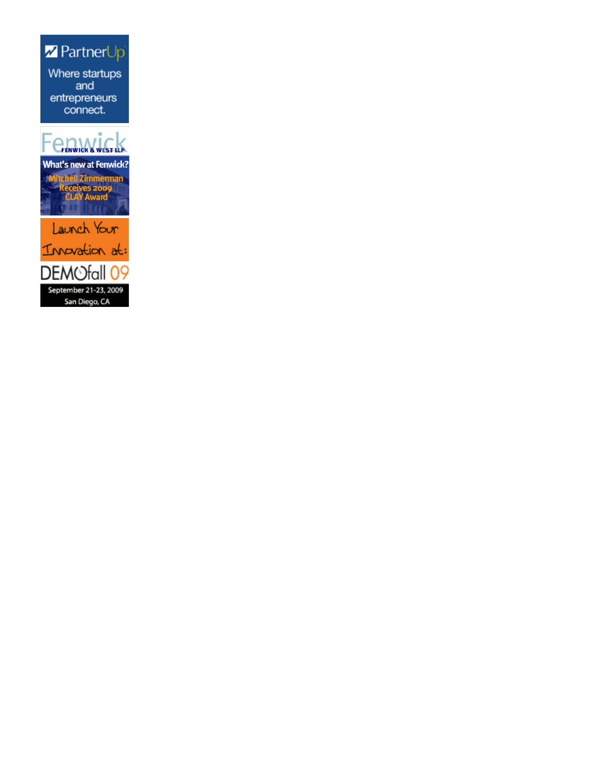Z PartnerUp Where startups and entrepreneurs connect.

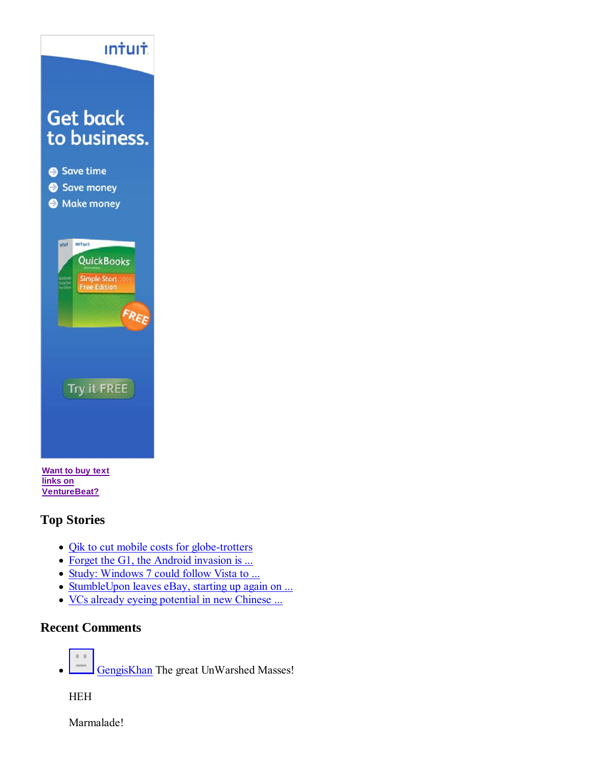

**links on VentureBeat?**

# **Top Stories**

- Qik to cut mobile costs for globe-trotters
- Forget the G1, the Android invasion is ...
- Study: Windows 7 could follow Vista to ...
- StumbleUpon leaves eBay, starting up again on ...
- VCs already eyeing potential in new Chinese ...

# **Recent Comments**



GengisKhan The great UnWarshed Masses!

HEH

Marmalade!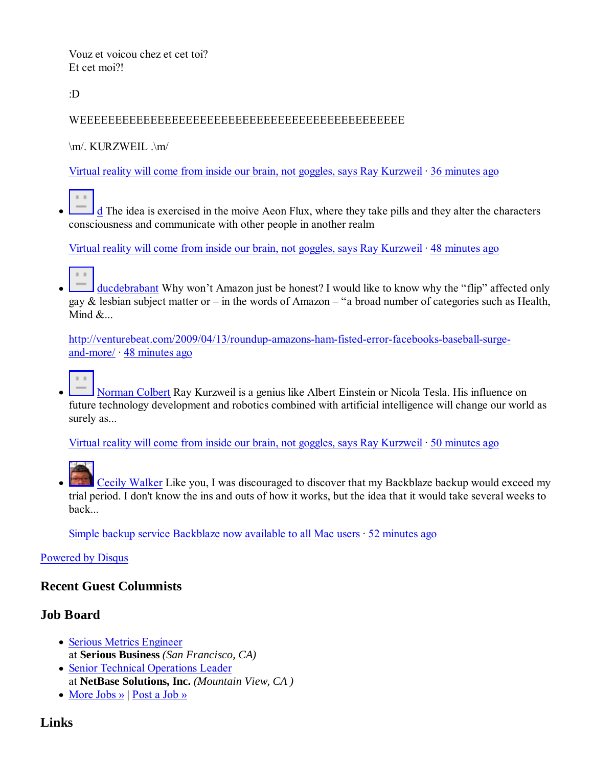Vouz et voicou chez et cet toi? Et cet moi?!

:D

#### WEEEEEEEEEEEEEEEEEEEEEEEEEEEEEEEEEEEEEEEEEEEEEE

 $\m|$  KURZWEIL  $\m|$ 

Virtual reality will come from inside our brain, not goggles, says Ray Kurzweil · 36 minutes ago

d The idea is exercised in the moive Aeon Flux, where they take pills and they alter the characters consciousness and communicate with other people in another realm

Virtual reality will come from inside our brain, not goggles, says Ray Kurzweil · 48 minutes ago



ducdebrabant Why won't Amazon just be honest? I would like to know why the "flip" affected only gay & lesbian subject matter or – in the words of Amazon – "a broad number of categories such as Health, Mind  $\&$ ...

http://venturebeat.com/2009/04/13/roundup-amazons-ham-fisted-error-facebooks-baseball-surgeand-more/ · 48 minutes ago

Norman Colbert Ray Kurzweil is a genius like Albert Einstein or Nicola Tesla. His influence on future technology development and robotics combined with artificial intelligence will change our world as surely as...

Virtual reality will come from inside our brain, not goggles, says Ray Kurzweil · 50 minutes ago



Cecily Walker Like you, I was discouraged to discover that my Backblaze backup would exceed my trial period. I don't know the ins and outs of how it works, but the idea that it would take several weeks to back...

Simple backup service Backblaze now available to all Mac users  $\cdot$  52 minutes ago

#### Powered by Disqus

#### **Recent Guest Columnists**

#### **Job Board**

- Serious Metrics Engineer at **Serious Business** *(San Francisco, CA)*
- Senior Technical Operations Leader at **NetBase Solutions, Inc.** *(Mountain View, CA )*
- More Jobs » | Post a Job »

# **Links**